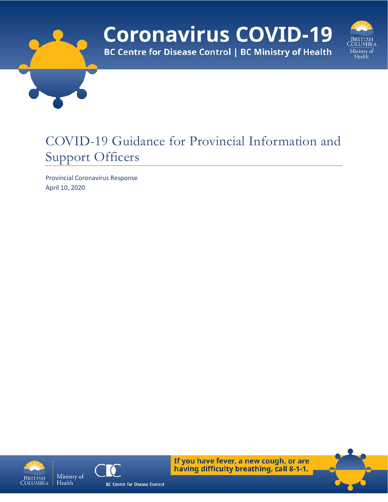# **Coronavirus COVID-19 BC Centre for Disease Control | BC Ministry of Health**



## COVID-19 Guidance for Provincial Information and Support Officers

Provincial Coronavirus Response April 10, 2020





If you have fever, a new cough, or are having difficulty breathing, call 8-1-1.

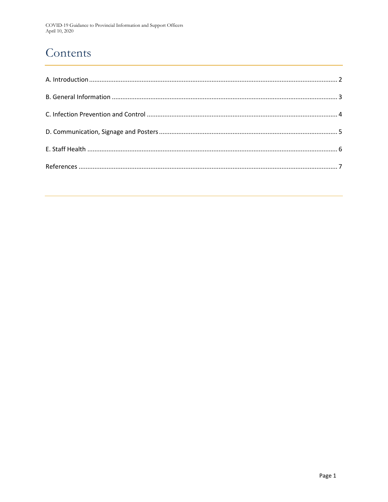### Contents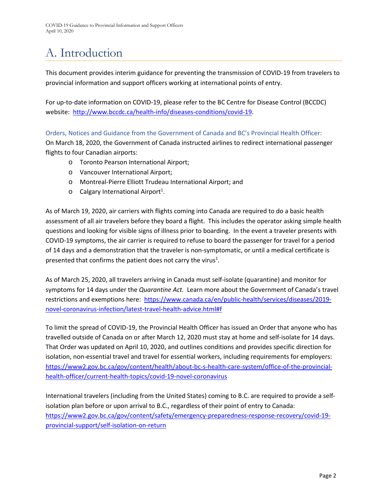# <span id="page-2-0"></span>A. Introduction

This document provides interim guidance for preventing the transmission of COVID-19 from travelers to provincial information and support officers working at international points of entry.

For up-to-date information on COVID-19, please refer to the BC Centre for Disease Control (BCCDC) website: [http://www.bccdc.ca/health-info/diseases-conditions/covid-19.](http://www.bccdc.ca/health-info/diseases-conditions/covid-19)

Orders, Notices and Guidance from the Government of Canada and BC's Provincial Health Officer:

On March 18, 2020, the Government of Canada instructed airlines to redirect international passenger flights to four Canadian airports:

- o Toronto Pearson International Airport;
- o Vancouver International Airport;
- o Montreal-Pierre Elliott Trudeau International Airport; and
- $\circ$  Calgary International Airport<sup>1</sup>.

As of March 19, 2020, air carriers with flights coming into Canada are required to do a basic health assessment of all air travelers before they board a flight. This includes the operator asking simple health questions and looking for visible signs of illness prior to boarding. In the event a traveler presents with COVID-19 symptoms, the air carrier is required to refuse to board the passenger for travel for a period of 14 days and a demonstration that the traveler is non-symptomatic, or until a medical certificate is presented that confirms the patient does not carry the virus<sup>1</sup>.

As of March 25, 2020, all travelers arriving in Canada must self-isolate (quarantine) and monitor for symptoms for 14 days under the *Quarantine Act.* Learn more about the Government of Canada's travel restrictions and exemptions here: [https://www.canada.ca/en/public-health/services/diseases/2019](https://www.canada.ca/en/public-health/services/diseases/2019-novel-coronavirus-infection/latest-travel-health-advice.html#f) [novel-coronavirus-infection/latest-travel-health-advice.html#f](https://www.canada.ca/en/public-health/services/diseases/2019-novel-coronavirus-infection/latest-travel-health-advice.html#f)

To limit the spread of COVID-19, the Provincial Health Officer has issued an Order that anyone who has travelled outside of Canada on or after March 12, 2020 must stay at home and self-isolate for 14 days. That Order was updated on April 10, 2020, and outlines conditions and provides specific direction for isolation, non-essential travel and travel for essential workers, including requirements for employers: [https://www2.gov.bc.ca/gov/content/health/about-bc-s-health-care-system/office-of-the-provincial](https://www2.gov.bc.ca/gov/content/health/about-bc-s-health-care-system/office-of-the-provincial-health-officer/current-health-topics/covid-19-novel-coronavirus)[health-officer/current-health-topics/covid-19-novel-coronavirus](https://www2.gov.bc.ca/gov/content/health/about-bc-s-health-care-system/office-of-the-provincial-health-officer/current-health-topics/covid-19-novel-coronavirus)

International travelers (including from the United States) coming to B.C. are required to provide a selfisolation plan before or upon arrival to B.C., regardless of their point of entry to Canada: [https://www2.gov.bc.ca/gov/content/safety/emergency-preparedness-response-recovery/covid-19](https://www2.gov.bc.ca/gov/content/safety/emergency-preparedness-response-recovery/covid-19-provincial-support/self-isolation-on-return) [provincial-support/self-isolation-on-return](https://www2.gov.bc.ca/gov/content/safety/emergency-preparedness-response-recovery/covid-19-provincial-support/self-isolation-on-return)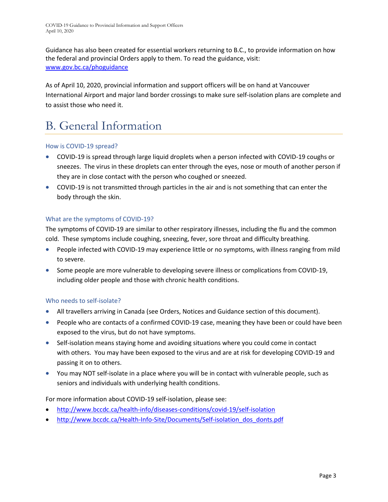Guidance has also been created for essential workers returning to B.C., to provide information on how the federal and provincial Orders apply to them. To read the guidance, visit: [www.gov.bc.ca/phoguidance](http://www.gov.bc.ca/phoguidance)

As of April 10, 2020, provincial information and support officers will be on hand at Vancouver International Airport and major land border crossings to make sure self-isolation plans are complete and to assist those who need it.

# <span id="page-3-0"></span>B. General Information

#### How is COVID-19 spread?

- COVID-19 is spread through large liquid droplets when a person infected with COVID-19 coughs or sneezes. The virus in these droplets can enter through the eyes, nose or mouth of another person if they are in close contact with the person who coughed or sneezed.
- COVID-19 is not transmitted through particles in the air and is not something that can enter the body through the skin.

### What are the symptoms of COVID-19?

The symptoms of COVID-19 are similar to other respiratory illnesses, including the flu and the common cold. These symptoms include coughing, sneezing, fever, sore throat and difficulty breathing.

- People infected with COVID-19 may experience little or no symptoms, with illness ranging from mild to severe.
- Some people are more vulnerable to developing severe illness or complications from COVID-19, including older people and those with chronic health conditions.

#### Who needs to self-isolate?

- All travellers arriving in Canada (see Orders, Notices and Guidance section of this document).
- People who are contacts of a confirmed COVID-19 case, meaning they have been or could have been exposed to the virus, but do not have symptoms.
- Self-isolation means staying home and avoiding situations where you could come in contact with others. You may have been exposed to the virus and are at risk for developing COVID-19 and passing it on to others.
- You may NOT self-isolate in a place where you will be in contact with vulnerable people, such as seniors and individuals with underlying health conditions.

#### For more information about COVID-19 self-isolation, please see:

- <http://www.bccdc.ca/health-info/diseases-conditions/covid-19/self-isolation>
- [http://www.bccdc.ca/Health-Info-Site/Documents/Self-isolation\\_dos\\_donts.pdf](http://www.bccdc.ca/Health-Info-Site/Documents/Self-isolation_dos_donts.pdf)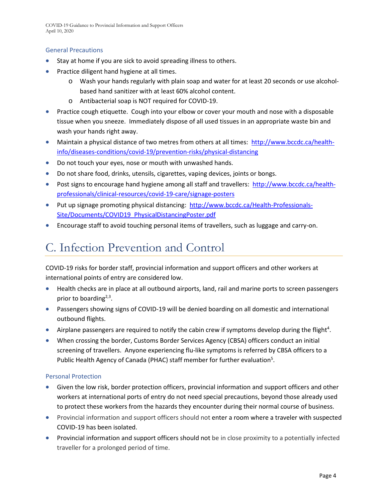COVID-19 Guidance to Provincial Information and Support Officers April 10, 2020

#### General Precautions

- Stay at home if you are sick to avoid spreading illness to others.
- Practice diligent hand hygiene at all times.
	- o Wash your hands regularly with plain soap and water for at least 20 seconds or use alcoholbased hand sanitizer with at least 60% alcohol content.
	- o Antibacterial soap is NOT required for COVID-19.
- Practice cough etiquette. Cough into your elbow or cover your mouth and nose with a disposable tissue when you sneeze. Immediately dispose of all used tissues in an appropriate waste bin and wash your hands right away.
- Maintain a physical distance of two metres from others at all times: [http://www.bccdc.ca/health](http://www.bccdc.ca/health-info/diseases-conditions/covid-19/prevention-risks/physical-distancing)[info/diseases-conditions/covid-19/prevention-risks/physical-distancing](http://www.bccdc.ca/health-info/diseases-conditions/covid-19/prevention-risks/physical-distancing)
- Do not touch your eyes, nose or mouth with unwashed hands.
- Do not share food, drinks, utensils, cigarettes, vaping devices, joints or bongs.
- Post signs to encourage hand hygiene among all staff and travellers: [http://www.bccdc.ca/health](http://www.bccdc.ca/health-professionals/clinical-resources/covid-19-care/signage-posters)[professionals/clinical-resources/covid-19-care/signage-posters](http://www.bccdc.ca/health-professionals/clinical-resources/covid-19-care/signage-posters)
- Put up signage promoting physical distancing: [http://www.bccdc.ca/Health-Professionals-](http://www.bccdc.ca/Health-Professionals-Site/Documents/COVID19_PhysicalDistancingPoster.pdf)[Site/Documents/COVID19\\_PhysicalDistancingPoster.pdf](http://www.bccdc.ca/Health-Professionals-Site/Documents/COVID19_PhysicalDistancingPoster.pdf)
- Encourage staff to avoid touching personal items of travellers, such as luggage and carry-on.

### <span id="page-4-0"></span>C. Infection Prevention and Control

COVID-19 risks for border staff, provincial information and support officers and other workers at international points of entry are considered low.

- Health checks are in place at all outbound airports, land, rail and marine ports to screen passengers prior to boarding $2,3$ .
- Passengers showing signs of COVID-19 will be denied boarding on all domestic and international outbound flights.
- Airplane passengers are required to notify the cabin crew if symptoms develop during the flight<sup>4</sup>.
- When crossing the border, Customs Border Services Agency (CBSA) officers conduct an initial screening of travellers. Anyone experiencing flu-like symptoms is referred by CBSA officers to a Public Health Agency of Canada (PHAC) staff member for further evaluation<sup>5</sup>.

#### Personal Protection

- Given the low risk, border protection officers, provincial information and support officers and other workers at international ports of entry do not need special precautions, beyond those already used to protect these workers from the hazards they encounter during their normal course of business.
- Provincial information and support officers should not enter a room where a traveler with suspected COVID-19 has been isolated.
- Provincial information and support officers should not be in close proximity to a potentially infected traveller for a prolonged period of time.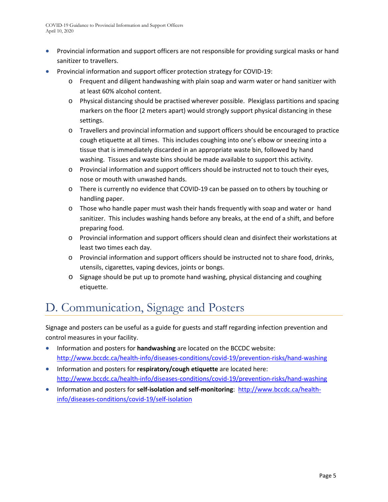- Provincial information and support officers are not responsible for providing surgical masks or hand sanitizer to travellers.
- Provincial information and support officer protection strategy for COVID-19:
	- o Frequent and diligent handwashing with plain soap and warm water or hand sanitizer with at least 60% alcohol content.
	- o Physical distancing should be practised wherever possible. Plexiglass partitions and spacing markers on the floor (2 meters apart) would strongly support physical distancing in these settings.
	- o Travellers and provincial information and support officers should be encouraged to practice cough etiquette at all times. This includes coughing into one's elbow or sneezing into a tissue that is immediately discarded in an appropriate waste bin, followed by hand washing. Tissues and waste bins should be made available to support this activity.
	- o Provincial information and support officers should be instructed not to touch their eyes, nose or mouth with unwashed hands.
	- o There is currently no evidence that COVID-19 can be passed on to others by touching or handling paper.
	- o Those who handle paper must wash their hands frequently with soap and water or hand sanitizer. This includes washing hands before any breaks, at the end of a shift, and before preparing food.
	- o Provincial information and support officers should clean and disinfect their workstations at least two times each day.
	- o Provincial information and support officers should be instructed not to share food, drinks, utensils, cigarettes, vaping devices, joints or bongs.
	- o Signage should be put up to promote hand washing, physical distancing and coughing etiquette.

### <span id="page-5-0"></span>D. Communication, Signage and Posters

Signage and posters can be useful as a guide for guests and staff regarding infection prevention and control measures in your facility.

- Information and posters for **handwashing** are located on the BCCDC website: <http://www.bccdc.ca/health-info/diseases-conditions/covid-19/prevention-risks/hand-washing>
- Information and posters for **respiratory/cough etiquette** are located here: <http://www.bccdc.ca/health-info/diseases-conditions/covid-19/prevention-risks/hand-washing>
- <span id="page-5-1"></span>• Information and posters for **self-isolation and self-monitoring**: [http://www.bccdc.ca/health](http://www.bccdc.ca/health-info/diseases-conditions/covid-19/self-isolation)[info/diseases-conditions/covid-19/self-isolation](http://www.bccdc.ca/health-info/diseases-conditions/covid-19/self-isolation)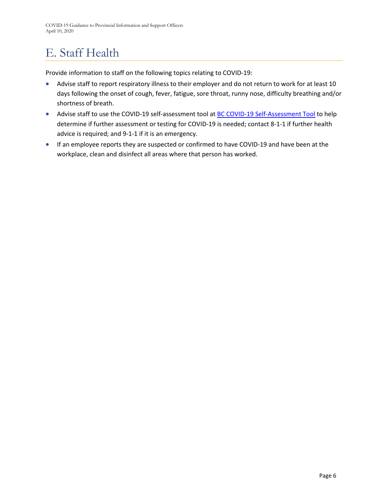# E. Staff Health

Provide information to staff on the following topics relating to COVID-19:

- Advise staff to report respiratory illness to their employer and do not return to work for at least 10 days following the onset of cough, fever, fatigue, sore throat, runny nose, difficulty breathing and/or shortness of breath.
- Advise staff to use the COVID-19 self-assessment tool at **[BC COVID-19 Self-Assessment Tool](https://covid19.thrive.health/)** to help determine if further assessment or testing for COVID-19 is needed; contact 8-1-1 if further health advice is required; and 9-1-1 if it is an emergency.
- If an employee reports they are suspected or confirmed to have COVID-19 and have been at the workplace, clean and disinfect all areas where that person has worked.